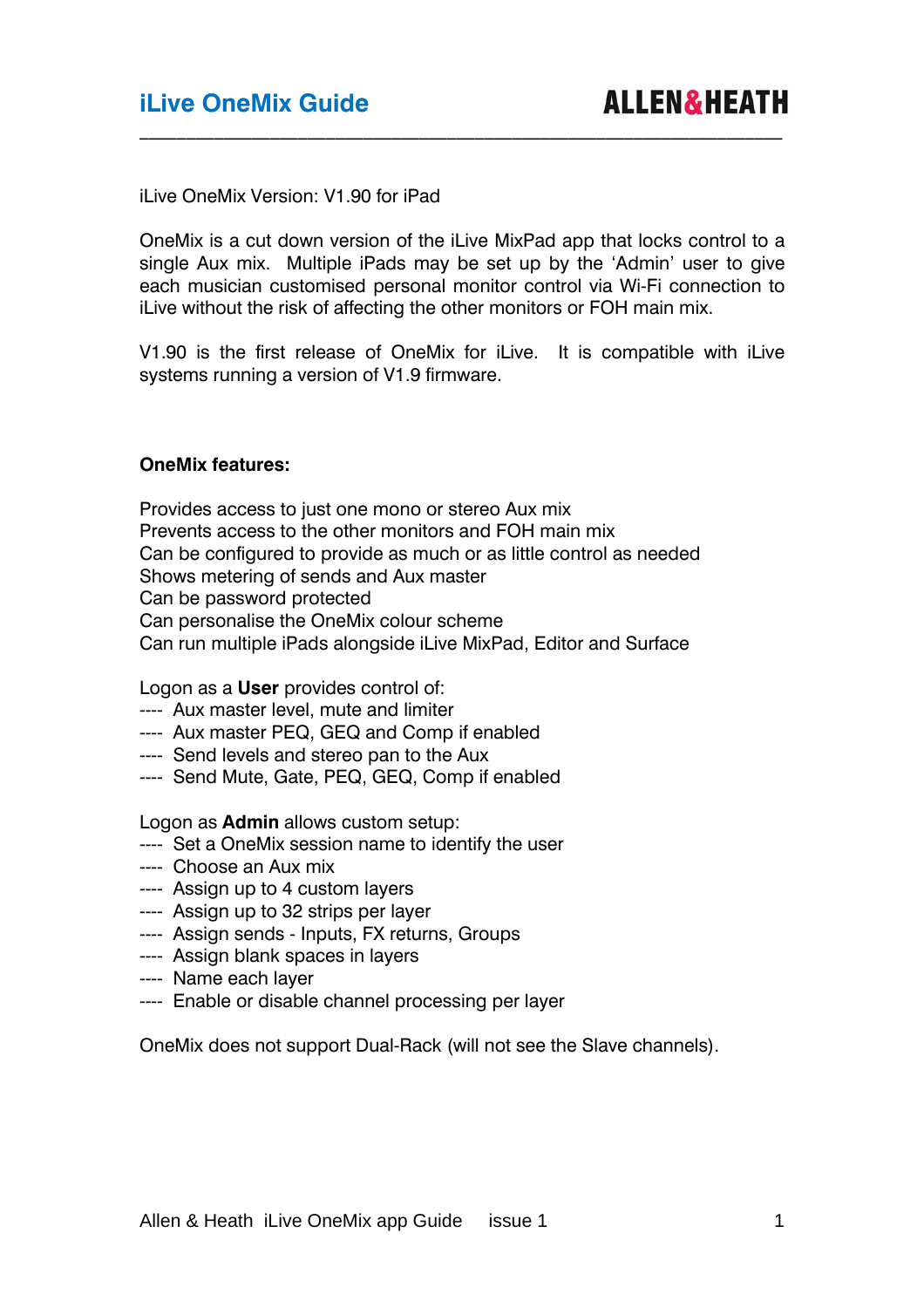iLive OneMix Version: V1.90 for iPad

OneMix is a cut down version of the iLive MixPad app that locks control to a single Aux mix. Multiple iPads may be set up by the 'Admin' user to give each musician customised personal monitor control via Wi-Fi connection to iLive without the risk of affecting the other monitors or FOH main mix.

 $\_$  , and the set of the set of the set of the set of the set of the set of the set of the set of the set of the set of the set of the set of the set of the set of the set of the set of the set of the set of the set of th

V1.90 is the first release of OneMix for iLive. It is compatible with iLive systems running a version of V1.9 firmware.

#### **OneMix features:**

Provides access to just one mono or stereo Aux mix Prevents access to the other monitors and FOH main mix Can be configured to provide as much or as little control as needed Shows metering of sends and Aux master Can be password protected Can personalise the OneMix colour scheme Can run multiple iPads alongside iLive MixPad, Editor and Surface

Logon as a **User** provides control of:

- ---- Aux master level, mute and limiter
- ---- Aux master PEQ, GEQ and Comp if enabled
- ---- Send levels and stereo pan to the Aux
- ---- Send Mute, Gate, PEQ, GEQ, Comp if enabled

Logon as **Admin** allows custom setup:

- ---- Set a OneMix session name to identify the user
- ---- Choose an Aux mix
- ---- Assign up to 4 custom layers
- ---- Assign up to 32 strips per layer
- ---- Assign sends Inputs, FX returns, Groups
- ---- Assign blank spaces in layers
- ---- Name each layer
- ---- Enable or disable channel processing per layer

OneMix does not support Dual-Rack (will not see the Slave channels).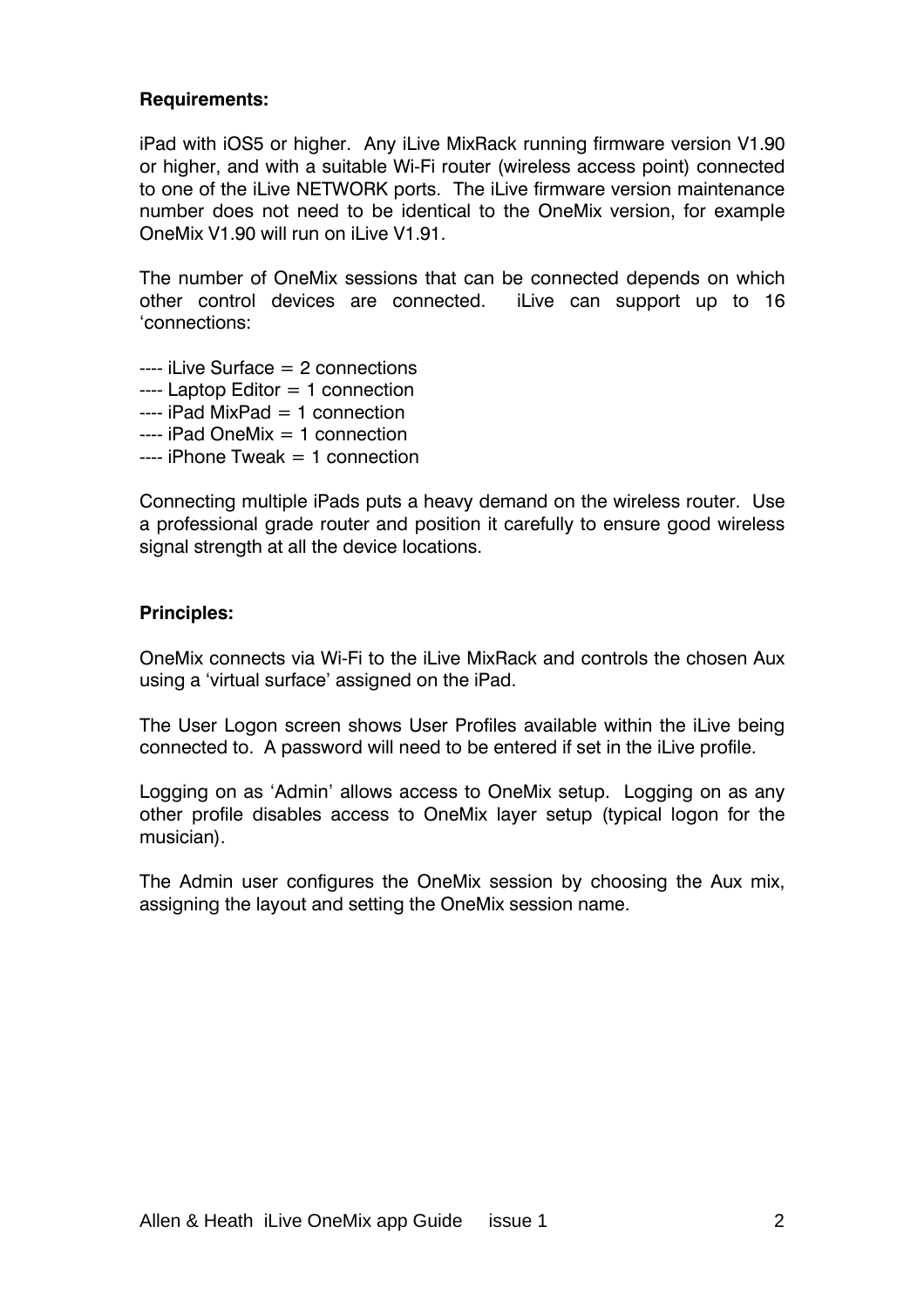### **Requirements:**

iPad with iOS5 or higher. Any iLive MixRack running firmware version V1.90 or higher, and with a suitable Wi-Fi router (wireless access point) connected to one of the iLive NETWORK ports. The iLive firmware version maintenance number does not need to be identical to the OneMix version, for example OneMix V1.90 will run on iLive V1.91.

The number of OneMix sessions that can be connected depends on which other control devices are connected. iLive can support up to 16 'connections:

- $---$  il ive Surface  $= 2$  connections
- $---$  Laptop Editor  $= 1$  connection
- $---$  iPad MixPad  $= 1$  connection
- ---- iPad OneMix = 1 connection
- $---$  iPhone Tweak  $= 1$  connection

Connecting multiple iPads puts a heavy demand on the wireless router. Use a professional grade router and position it carefully to ensure good wireless signal strength at all the device locations.

#### **Principles:**

OneMix connects via Wi-Fi to the iLive MixRack and controls the chosen Aux using a 'virtual surface' assigned on the iPad.

The User Logon screen shows User Profiles available within the iLive being connected to. A password will need to be entered if set in the iLive profile.

Logging on as 'Admin' allows access to OneMix setup. Logging on as any other profile disables access to OneMix layer setup (typical logon for the musician).

The Admin user configures the OneMix session by choosing the Aux mix, assigning the layout and setting the OneMix session name.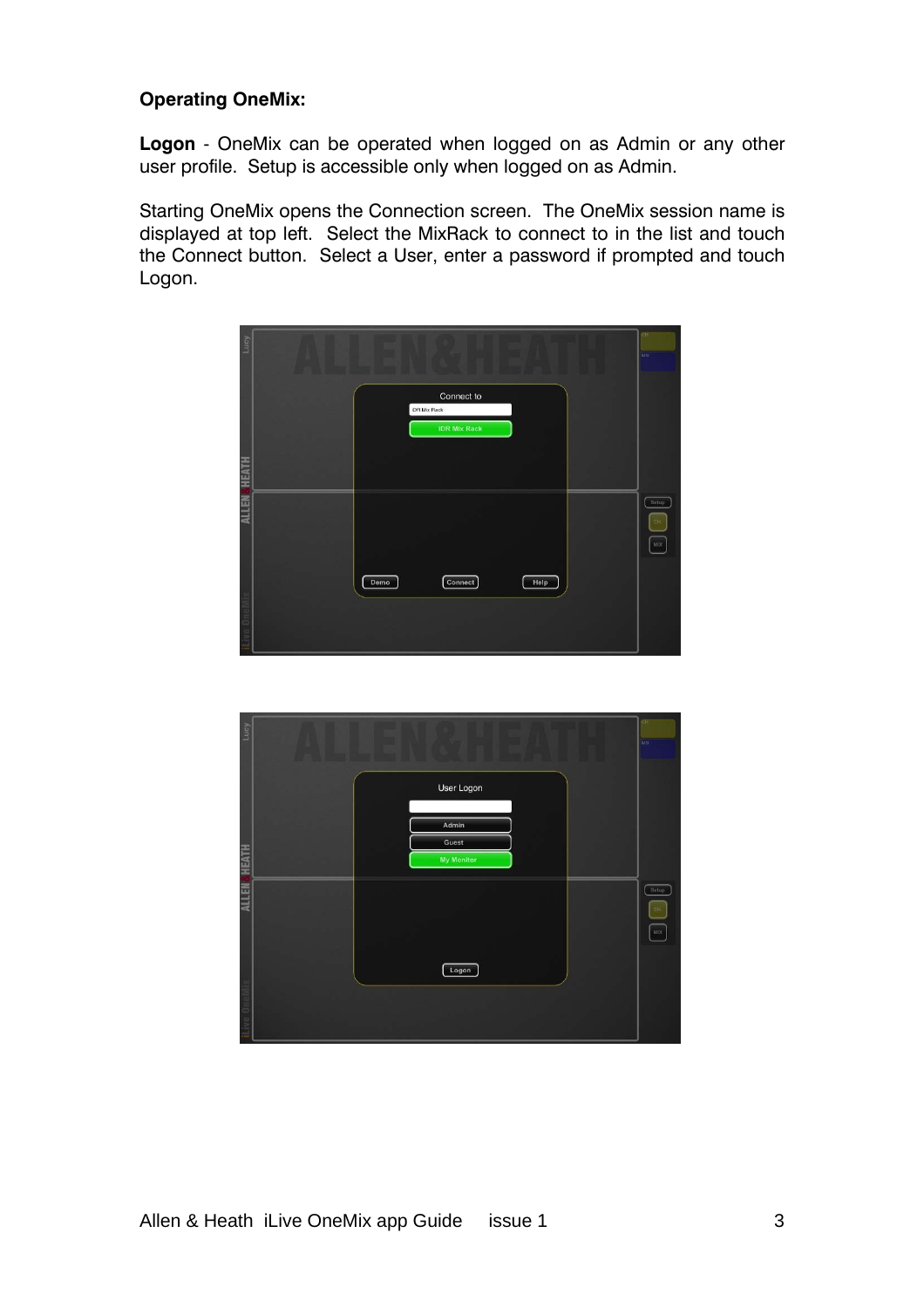# **Operating OneMix:**

**Logon** - OneMix can be operated when logged on as Admin or any other user profile. Setup is accessible only when logged on as Admin.

Starting OneMix opens the Connection screen. The OneMix session name is displayed at top left. Select the MixRack to connect to in the list and touch the Connect button. Select a User, enter a password if prompted and touch Logon.



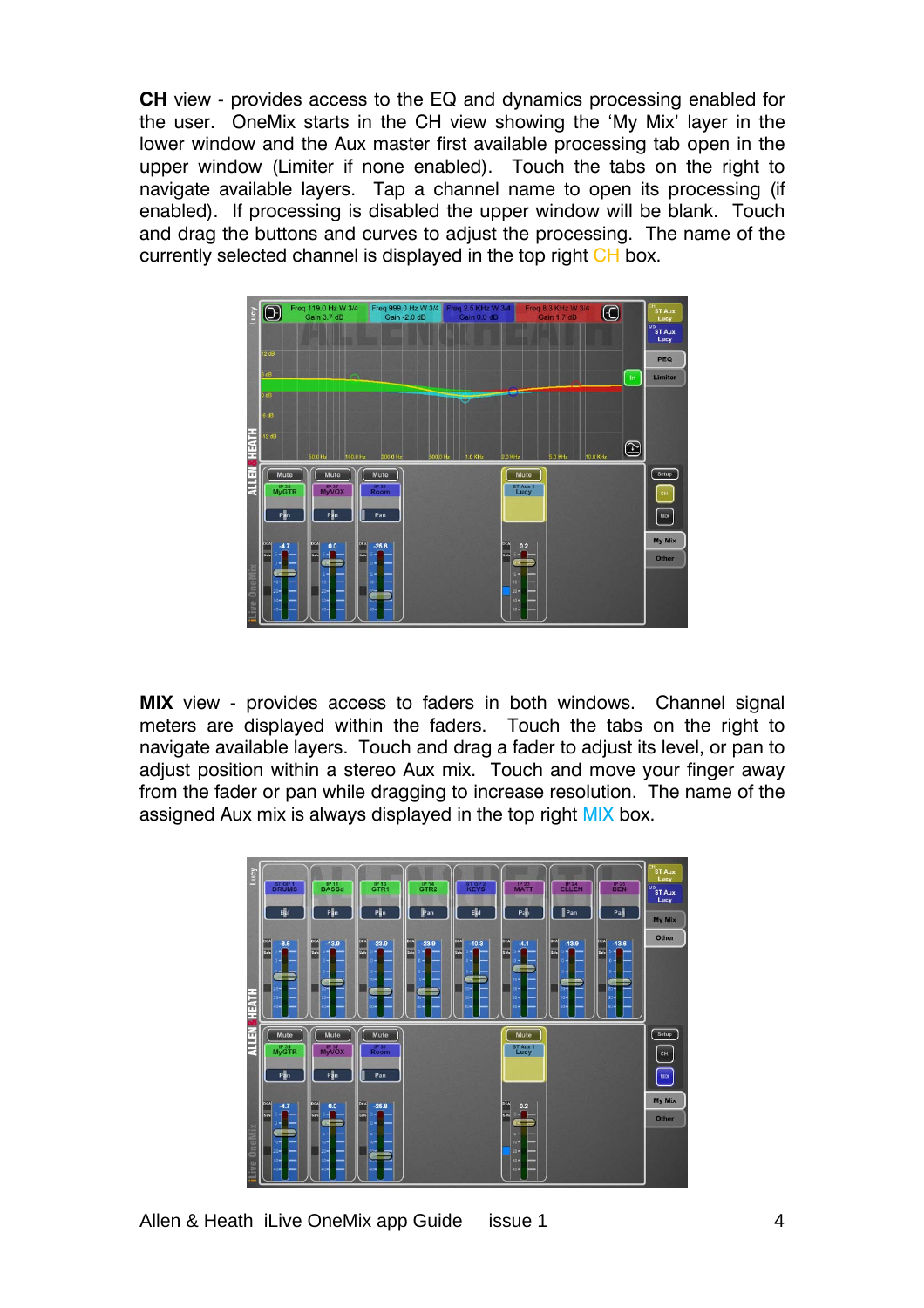**CH** view - provides access to the EQ and dynamics processing enabled for the user. OneMix starts in the CH view showing the 'My Mix' layer in the lower window and the Aux master first available processing tab open in the upper window (Limiter if none enabled). Touch the tabs on the right to navigate available layers. Tap a channel name to open its processing (if enabled). If processing is disabled the upper window will be blank. Touch and drag the buttons and curves to adjust the processing. The name of the currently selected channel is displayed in the top right CH box.



**MIX** view - provides access to faders in both windows. Channel signal meters are displayed within the faders. Touch the tabs on the right to navigate available layers. Touch and drag a fader to adjust its level, or pan to adjust position within a stereo Aux mix. Touch and move your finger away from the fader or pan while dragging to increase resolution. The name of the assigned Aux mix is always displayed in the top right MIX box.



Allen & Heath iLive OneMix app Guide issue 1 4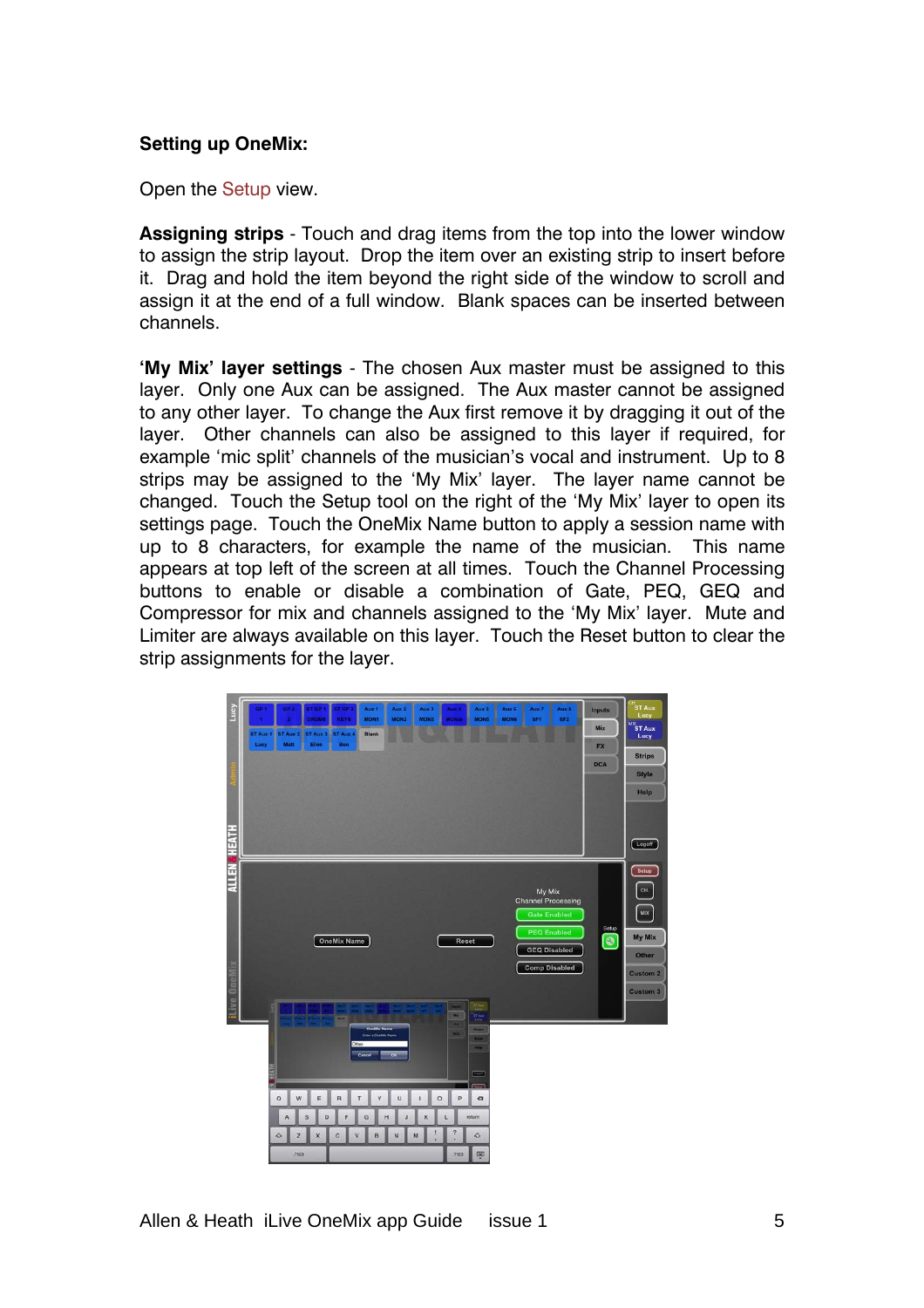### **Setting up OneMix:**

Open the Setup view.

**Assigning strips** - Touch and drag items from the top into the lower window to assign the strip layout. Drop the item over an existing strip to insert before it. Drag and hold the item beyond the right side of the window to scroll and assign it at the end of a full window. Blank spaces can be inserted between channels.

**'My Mix' layer settings** - The chosen Aux master must be assigned to this layer. Only one Aux can be assigned. The Aux master cannot be assigned to any other layer. To change the Aux first remove it by dragging it out of the layer. Other channels can also be assigned to this layer if required, for example 'mic split' channels of the musician's vocal and instrument. Up to 8 strips may be assigned to the 'My Mix' layer. The layer name cannot be changed. Touch the Setup tool on the right of the 'My Mix' layer to open its settings page. Touch the OneMix Name button to apply a session name with up to 8 characters, for example the name of the musician. This name appears at top left of the screen at all times. Touch the Channel Processing buttons to enable or disable a combination of Gate, PEQ, GEQ and Compressor for mix and channels assigned to the 'My Mix' layer. Mute and Limiter are always available on this layer. Touch the Reset button to clear the strip assignments for the layer.

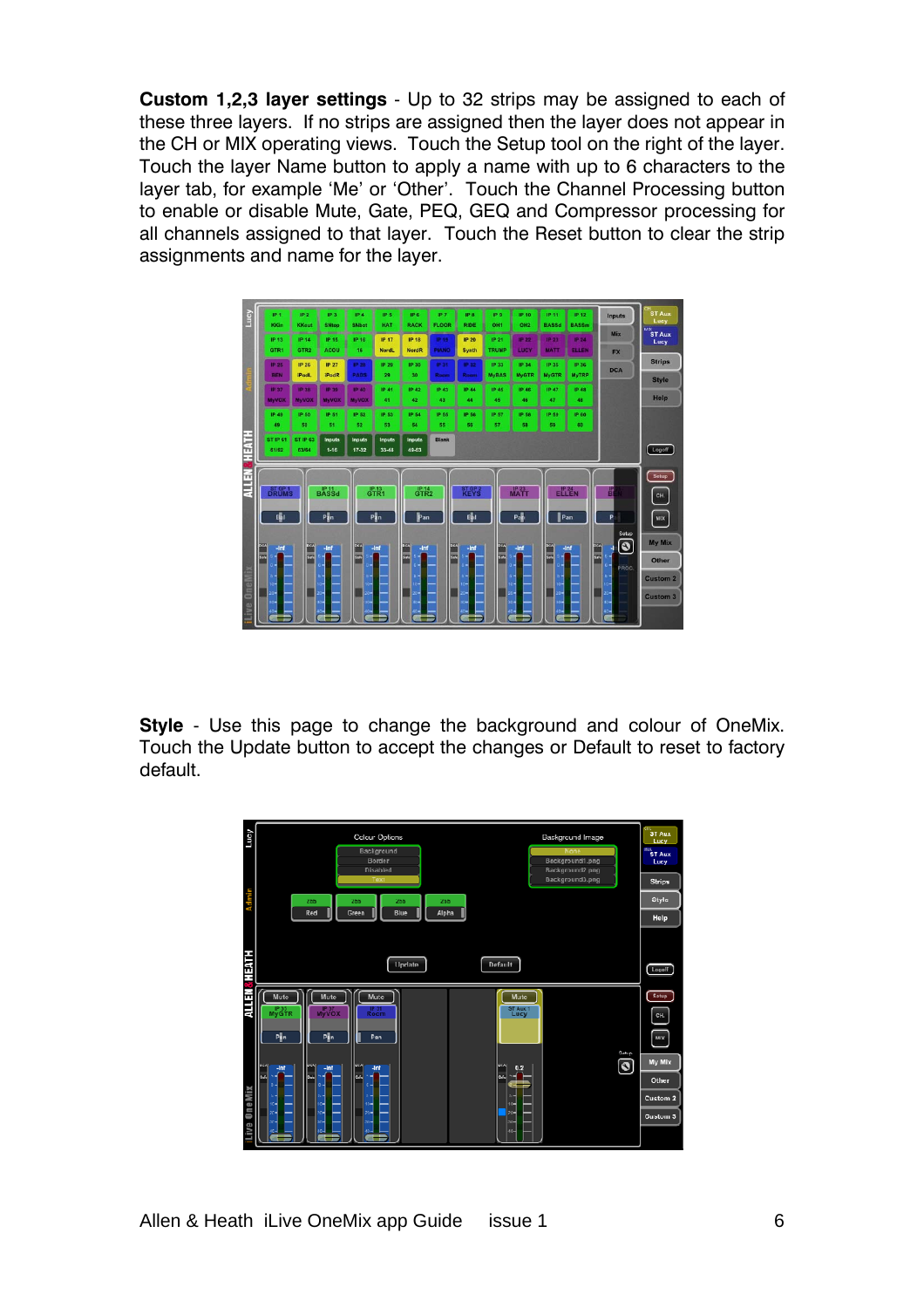**Custom 1,2,3 layer settings** - Up to 32 strips may be assigned to each of these three layers. If no strips are assigned then the layer does not appear in the CH or MIX operating views. Touch the Setup tool on the right of the layer. Touch the layer Name button to apply a name with up to 6 characters to the layer tab, for example 'Me' or 'Other'. Touch the Channel Processing button to enable or disable Mute, Gate, PEQ, GEQ and Compressor processing for all channels assigned to that layer. Touch the Reset button to clear the strip assignments and name for the layer.



**Style** - Use this page to change the background and colour of OneMix. Touch the Update button to accept the changes or Default to reset to factory default.

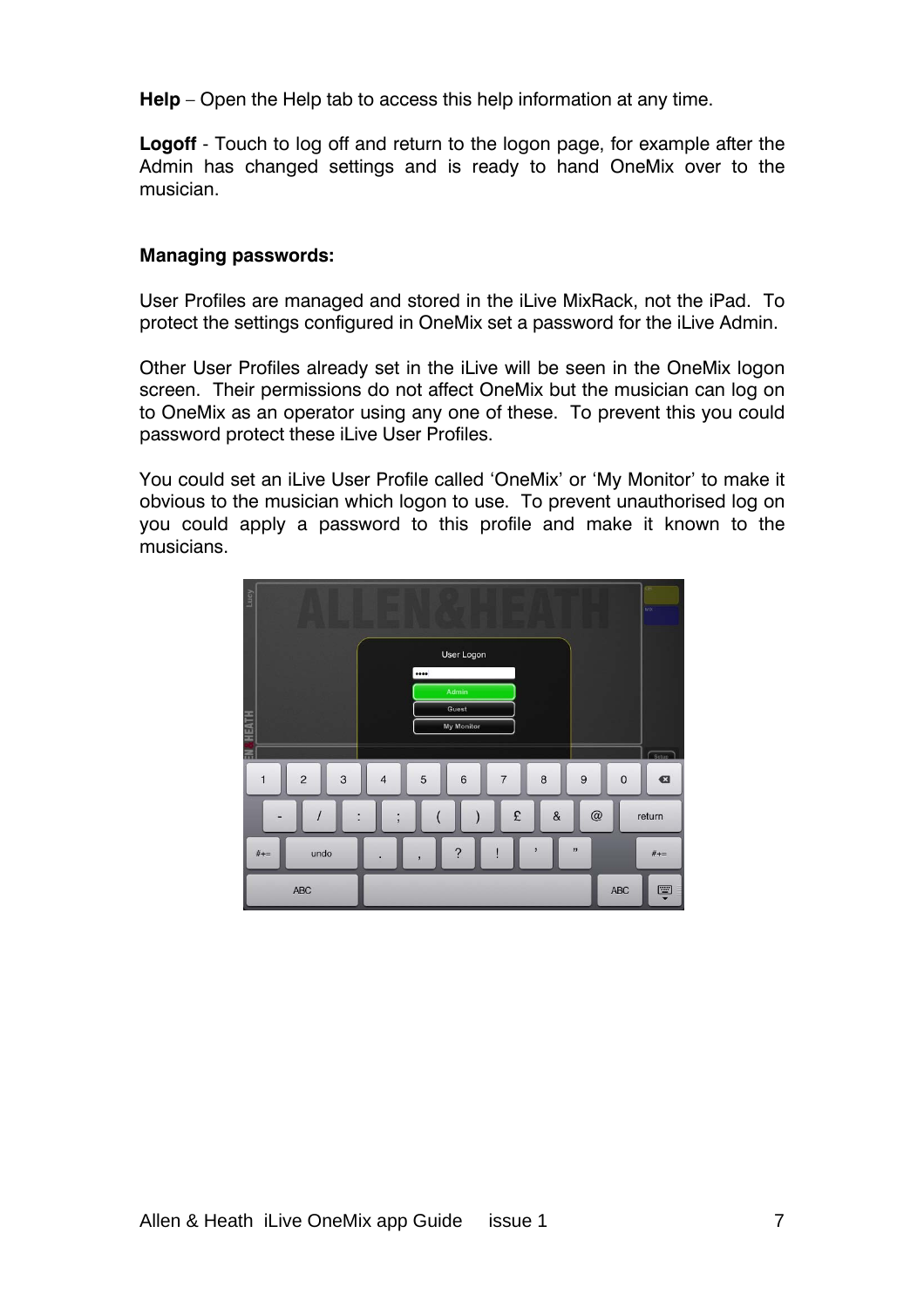**Help** – Open the Help tab to access this help information at any time.

**Logoff** - Touch to log off and return to the logon page, for example after the Admin has changed settings and is ready to hand OneMix over to the musician.

### **Managing passwords:**

User Profiles are managed and stored in the iLive MixRack, not the iPad. To protect the settings configured in OneMix set a password for the iLive Admin.

Other User Profiles already set in the iLive will be seen in the OneMix logon screen. Their permissions do not affect OneMix but the musician can log on to OneMix as an operator using any one of these. To prevent this you could password protect these iLive User Profiles.

You could set an iLive User Profile called 'OneMix' or 'My Monitor' to make it obvious to the musician which logon to use. To prevent unauthorised log on you could apply a password to this profile and make it known to the musicians.

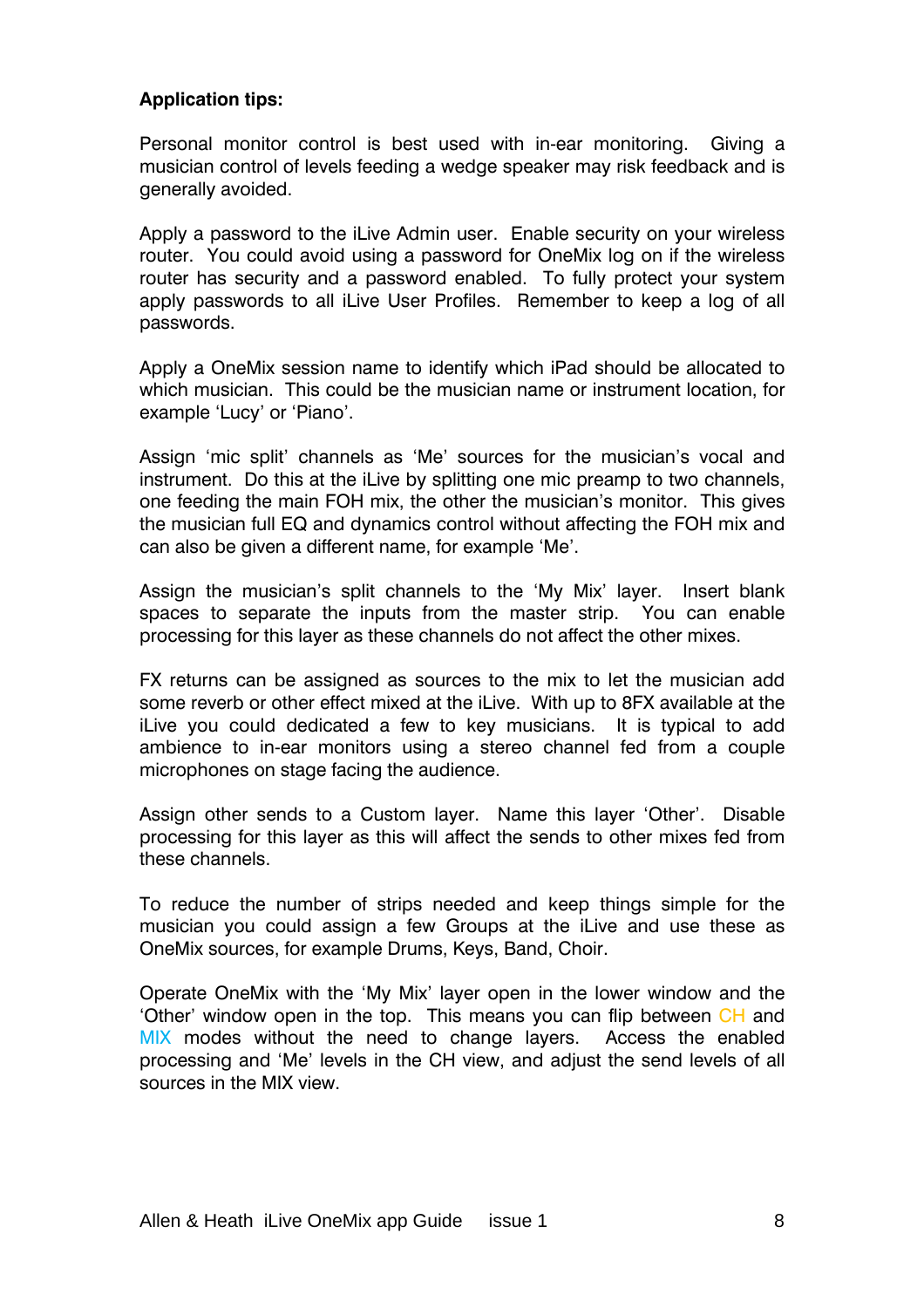## **Application tips:**

Personal monitor control is best used with in-ear monitoring. Giving a musician control of levels feeding a wedge speaker may risk feedback and is generally avoided.

Apply a password to the iLive Admin user. Enable security on your wireless router. You could avoid using a password for OneMix log on if the wireless router has security and a password enabled. To fully protect your system apply passwords to all iLive User Profiles. Remember to keep a log of all passwords.

Apply a OneMix session name to identify which iPad should be allocated to which musician. This could be the musician name or instrument location, for example 'Lucy' or 'Piano'.

Assign 'mic split' channels as 'Me' sources for the musician's vocal and instrument. Do this at the iLive by splitting one mic preamp to two channels, one feeding the main FOH mix, the other the musician's monitor. This gives the musician full EQ and dynamics control without affecting the FOH mix and can also be given a different name, for example 'Me'.

Assign the musician's split channels to the 'My Mix' layer. Insert blank spaces to separate the inputs from the master strip. You can enable processing for this layer as these channels do not affect the other mixes.

FX returns can be assigned as sources to the mix to let the musician add some reverb or other effect mixed at the iLive. With up to 8FX available at the iLive you could dedicated a few to key musicians. It is typical to add ambience to in-ear monitors using a stereo channel fed from a couple microphones on stage facing the audience.

Assign other sends to a Custom layer. Name this layer 'Other'. Disable processing for this layer as this will affect the sends to other mixes fed from these channels.

To reduce the number of strips needed and keep things simple for the musician you could assign a few Groups at the iLive and use these as OneMix sources, for example Drums, Keys, Band, Choir.

Operate OneMix with the 'My Mix' layer open in the lower window and the 'Other' window open in the top. This means you can flip between CH and MIX modes without the need to change layers. Access the enabled processing and 'Me' levels in the CH view, and adjust the send levels of all sources in the MIX view.